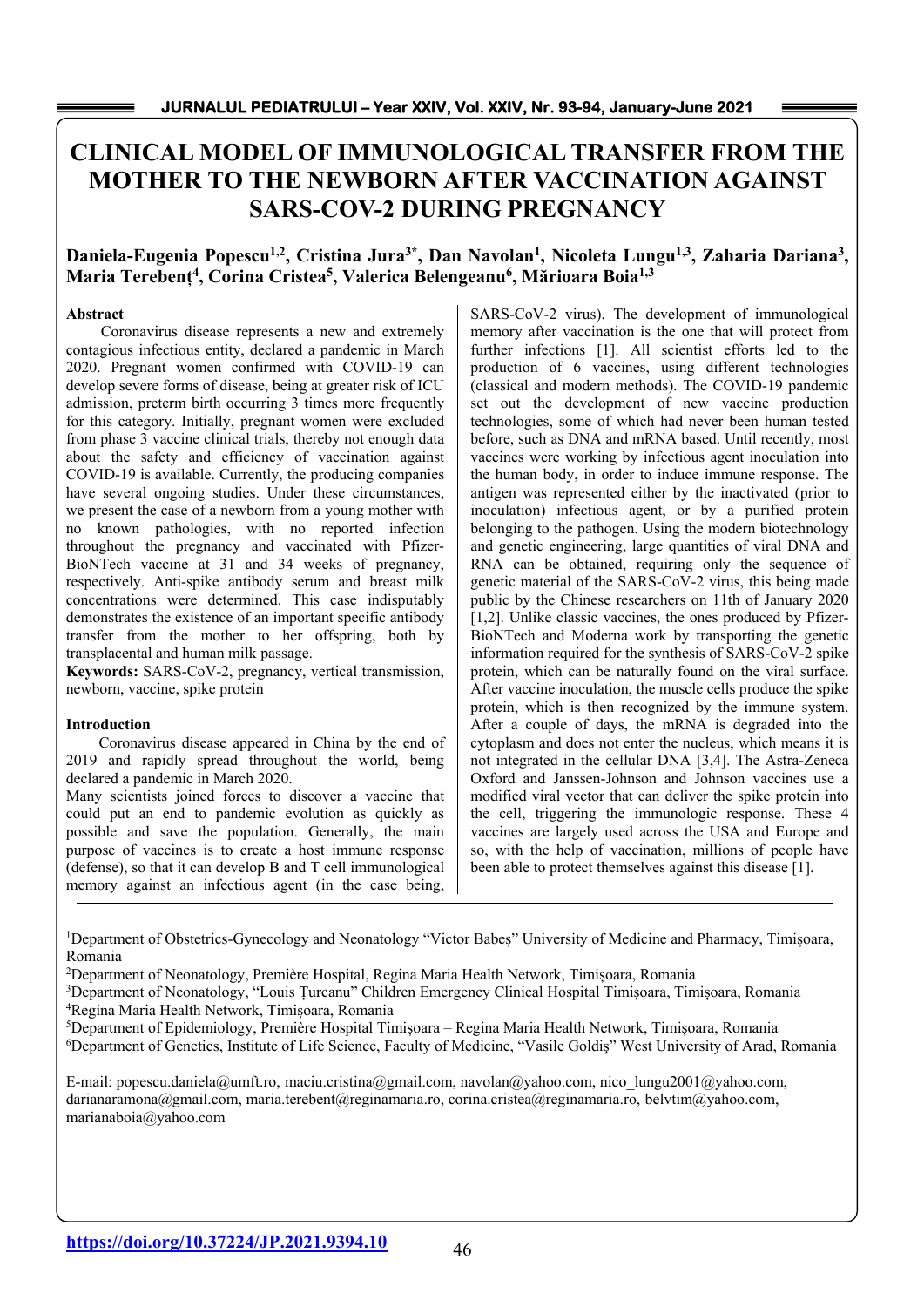# **CLINICAL MODEL OF IMMUNOLOGICAL TRANSFER FROM THE MOTHER TO THE NEWBORN AFTER VACCINATION AGAINST SARS-COV-2 DURING PREGNANCY**

# Daniela-Eugenia Popescu<sup>1,2</sup>, Cristina Jura<sup>3\*</sup>, Dan Navolan<sup>1</sup>, Nicoleta Lungu<sup>1,3</sup>, Zaharia Dariana<sup>3</sup>, **Maria Terebenț4 , Corina Cristea5 , Valerica Belengeanu6 , Mărioara Boia1,3**

# **Abstract**

Coronavirus disease represents a new and extremely contagious infectious entity, declared a pandemic in March 2020. Pregnant women confirmed with COVID-19 can develop severe forms of disease, being at greater risk of ICU admission, preterm birth occurring 3 times more frequently for this category. Initially, pregnant women were excluded from phase 3 vaccine clinical trials, thereby not enough data about the safety and efficiency of vaccination against COVID-19 is available. Currently, the producing companies have several ongoing studies. Under these circumstances, we present the case of a newborn from a young mother with no known pathologies, with no reported infection throughout the pregnancy and vaccinated with Pfizer-BioNTech vaccine at 31 and 34 weeks of pregnancy, respectively. Anti-spike antibody serum and breast milk concentrations were determined. This case indisputably demonstrates the existence of an important specific antibody transfer from the mother to her offspring, both by transplacental and human milk passage.

**Keywords:** SARS-CoV-2, pregnancy, vertical transmission, newborn, vaccine, spike protein

#### **Introduction**

Coronavirus disease appeared in China by the end of 2019 and rapidly spread throughout the world, being declared a pandemic in March 2020.

Many scientists joined forces to discover a vaccine that could put an end to pandemic evolution as quickly as possible and save the population. Generally, the main purpose of vaccines is to create a host immune response (defense), so that it can develop B and T cell immunological memory against an infectious agent (in the case being,

SARS-CoV-2 virus). The development of immunological memory after vaccination is the one that will protect from further infections [1]. All scientist efforts led to the production of 6 vaccines, using different technologies (classical and modern methods). The COVID-19 pandemic set out the development of new vaccine production technologies, some of which had never been human tested before, such as DNA and mRNA based. Until recently, most vaccines were working by infectious agent inoculation into the human body, in order to induce immune response. The antigen was represented either by the inactivated (prior to inoculation) infectious agent, or by a purified protein belonging to the pathogen. Using the modern biotechnology and genetic engineering, large quantities of viral DNA and RNA can be obtained, requiring only the sequence of genetic material of the SARS-CoV-2 virus, this being made public by the Chinese researchers on 11th of January 2020 [1,2]. Unlike classic vaccines, the ones produced by Pfizer-BioNTech and Moderna work by transporting the genetic information required for the synthesis of SARS-CoV-2 spike protein, which can be naturally found on the viral surface. After vaccine inoculation, the muscle cells produce the spike protein, which is then recognized by the immune system. After a couple of days, the mRNA is degraded into the cytoplasm and does not enter the nucleus, which means it is not integrated in the cellular DNA [3,4]. The Astra-Zeneca Oxford and Janssen-Johnson and Johnson vaccines use a modified viral vector that can deliver the spike protein into the cell, triggering the immunologic response. These 4 vaccines are largely used across the USA and Europe and so, with the help of vaccination, millions of people have been able to protect themselves against this disease [1].

1 Department of Obstetrics-Gynecology and Neonatology "Victor Babeș" University of Medicine and Pharmacy, Timișoara, Romania

2 Department of Neonatology, Première Hospital, Regina Maria Health Network, Timișoara, Romania

<sup>3</sup>Department of Neonatology, "Louis Țurcanu" Children Emergency Clinical Hospital Timișoara, Timișoara, Romania<br><sup>4</sup>Regina Maria Health Network, Timișoara, Romania Regina Maria Health Network, Timișoara, Romania 5

Department of Epidemiology, Première Hospital Timișoara – Regina Maria Health Network, Timișoara, Romania

6 Department of Genetics, Institute of Life Science, Faculty of Medicine, "Vasile Goldiş" West University of Arad, Romania

E-mail: popescu.daniela@umft.ro, maciu.cristina@gmail.com, navolan@yahoo.com, nico\_lungu2001@yahoo.com, darianaramona@gmail.com, maria.terebent@reginamaria.ro, corina.cristea@reginamaria.ro, belvtim@yahoo.com, marianaboia@yahoo.com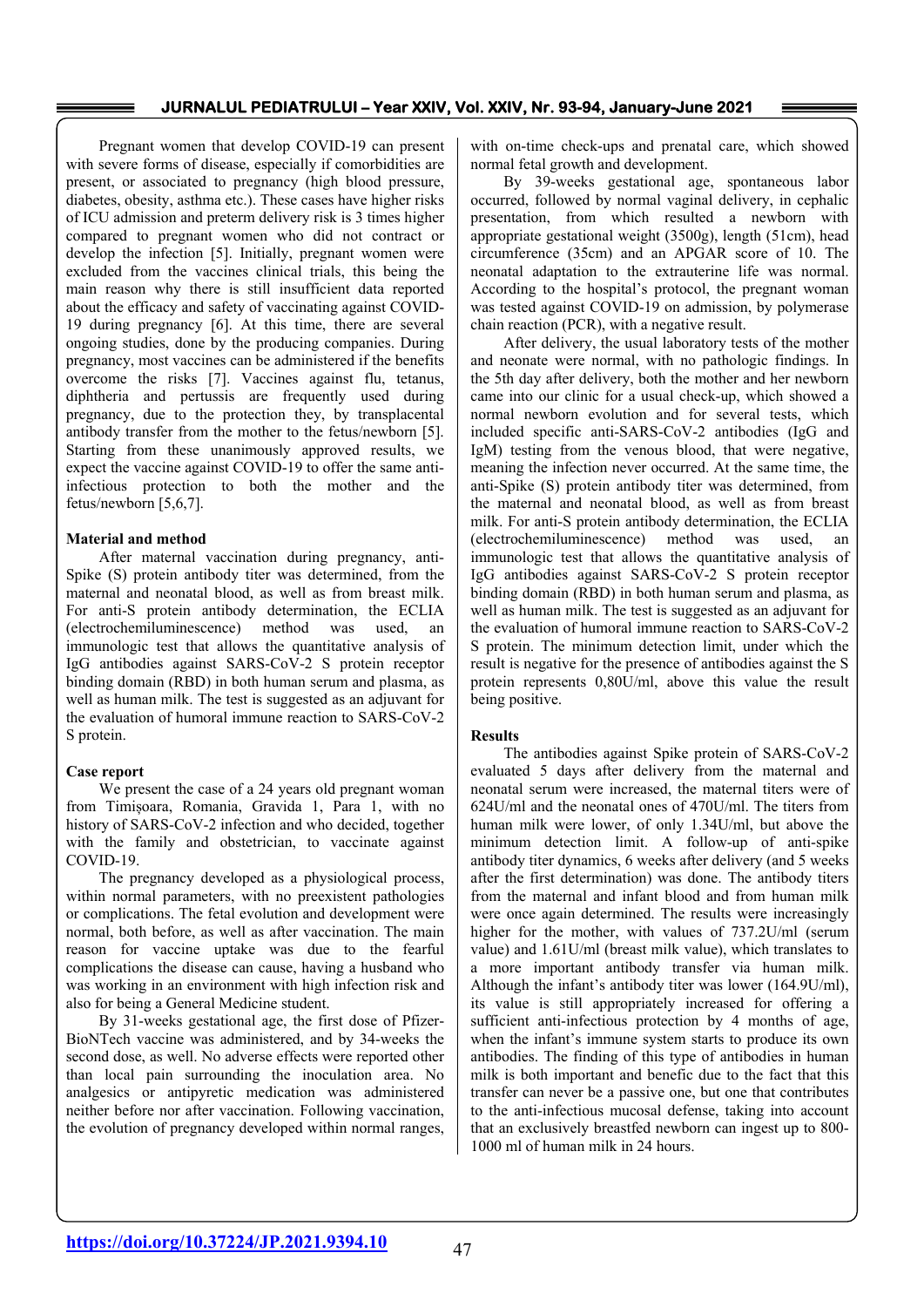Pregnant women that develop COVID-19 can present with severe forms of disease, especially if comorbidities are present, or associated to pregnancy (high blood pressure, diabetes, obesity, asthma etc.). These cases have higher risks of ICU admission and preterm delivery risk is 3 times higher compared to pregnant women who did not contract or develop the infection [5]. Initially, pregnant women were excluded from the vaccines clinical trials, this being the main reason why there is still insufficient data reported about the efficacy and safety of vaccinating against COVID-19 during pregnancy [6]. At this time, there are several ongoing studies, done by the producing companies. During pregnancy, most vaccines can be administered if the benefits overcome the risks [7]. Vaccines against flu, tetanus, diphtheria and pertussis are frequently used during pregnancy, due to the protection they, by transplacental antibody transfer from the mother to the fetus/newborn [5]. Starting from these unanimously approved results, we expect the vaccine against COVID-19 to offer the same antiinfectious protection to both the mother and the fetus/newborn [5,6,7].

#### **Material and method**

After maternal vaccination during pregnancy, anti-Spike (S) protein antibody titer was determined, from the maternal and neonatal blood, as well as from breast milk. For anti-S protein antibody determination, the ECLIA (electrochemiluminescence) method was used, an immunologic test that allows the quantitative analysis of IgG antibodies against SARS-CoV-2 S protein receptor binding domain (RBD) in both human serum and plasma, as well as human milk. The test is suggested as an adjuvant for the evaluation of humoral immune reaction to SARS-CoV-2 S protein.

#### **Case report**

We present the case of a 24 years old pregnant woman from Timișoara, Romania, Gravida 1, Para 1, with no history of SARS-CoV-2 infection and who decided, together with the family and obstetrician, to vaccinate against COVID-19.

 The pregnancy developed as a physiological process, within normal parameters, with no preexistent pathologies or complications. The fetal evolution and development were normal, both before, as well as after vaccination. The main reason for vaccine uptake was due to the fearful complications the disease can cause, having a husband who was working in an environment with high infection risk and also for being a General Medicine student.

 By 31-weeks gestational age, the first dose of Pfizer-BioNTech vaccine was administered, and by 34-weeks the second dose, as well. No adverse effects were reported other than local pain surrounding the inoculation area. No analgesics or antipyretic medication was administered neither before nor after vaccination. Following vaccination, the evolution of pregnancy developed within normal ranges,

with on-time check-ups and prenatal care, which showed normal fetal growth and development.

 By 39-weeks gestational age, spontaneous labor occurred, followed by normal vaginal delivery, in cephalic presentation, from which resulted a newborn with appropriate gestational weight (3500g), length (51cm), head circumference (35cm) and an APGAR score of 10. The neonatal adaptation to the extrauterine life was normal. According to the hospital's protocol, the pregnant woman was tested against COVID-19 on admission, by polymerase chain reaction (PCR), with a negative result.

 After delivery, the usual laboratory tests of the mother and neonate were normal, with no pathologic findings. In the 5th day after delivery, both the mother and her newborn came into our clinic for a usual check-up, which showed a normal newborn evolution and for several tests, which included specific anti-SARS-CoV-2 antibodies (IgG and IgM) testing from the venous blood, that were negative, meaning the infection never occurred. At the same time, the anti-Spike (S) protein antibody titer was determined, from the maternal and neonatal blood, as well as from breast milk. For anti-S protein antibody determination, the ECLIA (electrochemiluminescence) method was used, an immunologic test that allows the quantitative analysis of IgG antibodies against SARS-CoV-2 S protein receptor binding domain (RBD) in both human serum and plasma, as well as human milk. The test is suggested as an adjuvant for the evaluation of humoral immune reaction to SARS-CoV-2 S protein. The minimum detection limit, under which the result is negative for the presence of antibodies against the S protein represents 0,80U/ml, above this value the result being positive.

#### **Results**

The antibodies against Spike protein of SARS-CoV-2 evaluated 5 days after delivery from the maternal and neonatal serum were increased, the maternal titers were of 624U/ml and the neonatal ones of 470U/ml. The titers from human milk were lower, of only 1.34U/ml, but above the minimum detection limit. A follow-up of anti-spike antibody titer dynamics, 6 weeks after delivery (and 5 weeks after the first determination) was done. The antibody titers from the maternal and infant blood and from human milk were once again determined. The results were increasingly higher for the mother, with values of 737.2U/ml (serum value) and 1.61U/ml (breast milk value), which translates to a more important antibody transfer via human milk. Although the infant's antibody titer was lower (164.9U/ml), its value is still appropriately increased for offering a sufficient anti-infectious protection by 4 months of age, when the infant's immune system starts to produce its own antibodies. The finding of this type of antibodies in human milk is both important and benefic due to the fact that this transfer can never be a passive one, but one that contributes to the anti-infectious mucosal defense, taking into account that an exclusively breastfed newborn can ingest up to 800- 1000 ml of human milk in 24 hours.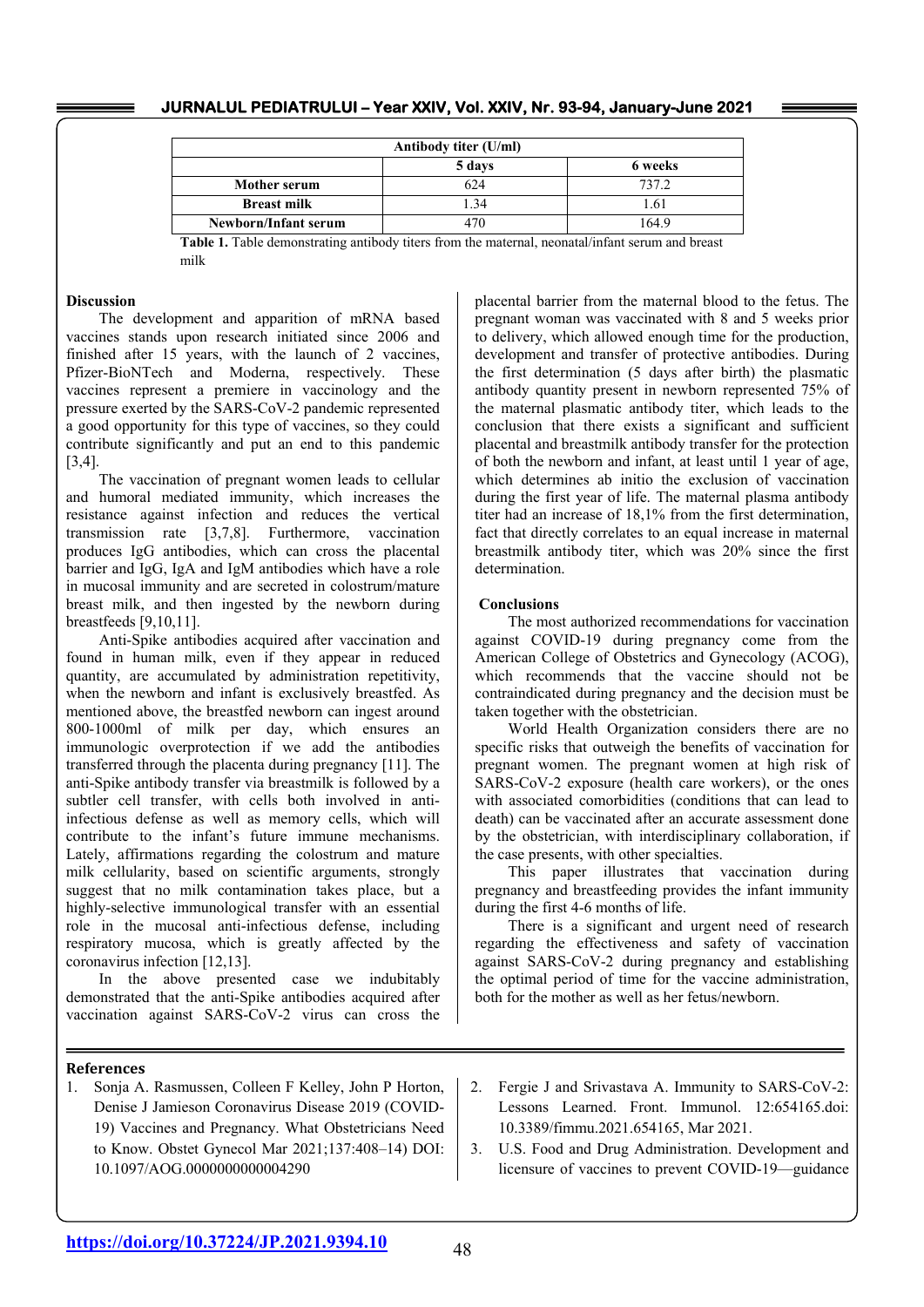| JURNALUL PEDIATRULUI - Year XXIV, Vol. XXIV, Nr. 93-94, January-June 2021 |  |  |  |
|---------------------------------------------------------------------------|--|--|--|
|---------------------------------------------------------------------------|--|--|--|

| Antibody titer (U/ml) |        |         |  |
|-----------------------|--------|---------|--|
|                       | 5 days | 6 weeks |  |
| Mother serum          | 624    | 737.2   |  |
| <b>Breast milk</b>    | .34    | 1.61    |  |
| Newborn/Infant serum  | 470    | 164.9   |  |

**Table 1.** Table demonstrating antibody titers from the maternal, neonatal/infant serum and breast milk

# **Discussion**

The development and apparition of mRNA based vaccines stands upon research initiated since 2006 and finished after 15 years, with the launch of 2 vaccines, Pfizer-BioNTech and Moderna, respectively. These vaccines represent a premiere in vaccinology and the pressure exerted by the SARS-CoV-2 pandemic represented a good opportunity for this type of vaccines, so they could contribute significantly and put an end to this pandemic [3,4].

The vaccination of pregnant women leads to cellular and humoral mediated immunity, which increases the resistance against infection and reduces the vertical transmission rate [3,7,8]. Furthermore, vaccination produces IgG antibodies, which can cross the placental barrier and IgG, IgA and IgM antibodies which have a role in mucosal immunity and are secreted in colostrum/mature breast milk, and then ingested by the newborn during breastfeeds [9,10,11].

Anti-Spike antibodies acquired after vaccination and found in human milk, even if they appear in reduced quantity, are accumulated by administration repetitivity, when the newborn and infant is exclusively breastfed. As mentioned above, the breastfed newborn can ingest around 800-1000ml of milk per day, which ensures an immunologic overprotection if we add the antibodies transferred through the placenta during pregnancy [11]. The anti-Spike antibody transfer via breastmilk is followed by a subtler cell transfer, with cells both involved in antiinfectious defense as well as memory cells, which will contribute to the infant's future immune mechanisms. Lately, affirmations regarding the colostrum and mature milk cellularity, based on scientific arguments, strongly suggest that no milk contamination takes place, but a highly-selective immunological transfer with an essential role in the mucosal anti-infectious defense, including respiratory mucosa, which is greatly affected by the coronavirus infection [12,13].

In the above presented case we indubitably demonstrated that the anti-Spike antibodies acquired after vaccination against SARS-CoV-2 virus can cross the placental barrier from the maternal blood to the fetus. The pregnant woman was vaccinated with 8 and 5 weeks prior to delivery, which allowed enough time for the production, development and transfer of protective antibodies. During the first determination (5 days after birth) the plasmatic antibody quantity present in newborn represented 75% of the maternal plasmatic antibody titer, which leads to the conclusion that there exists a significant and sufficient placental and breastmilk antibody transfer for the protection of both the newborn and infant, at least until 1 year of age, which determines ab initio the exclusion of vaccination during the first year of life. The maternal plasma antibody titer had an increase of 18,1% from the first determination, fact that directly correlates to an equal increase in maternal breastmilk antibody titer, which was 20% since the first determination.

# **Conclusions**

 The most authorized recommendations for vaccination against COVID-19 during pregnancy come from the American College of Obstetrics and Gynecology (ACOG), which recommends that the vaccine should not be contraindicated during pregnancy and the decision must be taken together with the obstetrician.

 World Health Organization considers there are no specific risks that outweigh the benefits of vaccination for pregnant women. The pregnant women at high risk of SARS-CoV-2 exposure (health care workers), or the ones with associated comorbidities (conditions that can lead to death) can be vaccinated after an accurate assessment done by the obstetrician, with interdisciplinary collaboration, if the case presents, with other specialties.

 This paper illustrates that vaccination during pregnancy and breastfeeding provides the infant immunity during the first 4-6 months of life.

 There is a significant and urgent need of research regarding the effectiveness and safety of vaccination against SARS-CoV-2 during pregnancy and establishing the optimal period of time for the vaccine administration, both for the mother as well as her fetus/newborn.

#### **References**

- 1. Sonja A. Rasmussen, Colleen F Kelley, John P Horton, Denise J Jamieson Coronavirus Disease 2019 (COVID-19) Vaccines and Pregnancy. What Obstetricians Need to Know. Obstet Gynecol Mar 2021;137:408–14) DOI: 10.1097/AOG.0000000000004290
- 2. Fergie J and Srivastava A. Immunity to SARS-CoV-2: Lessons Learned. Front. Immunol. 12:654165.doi: 10.3389/fimmu.2021.654165, Mar 2021.
- 3. U.S. Food and Drug Administration. Development and licensure of vaccines to prevent COVID-19—guidance